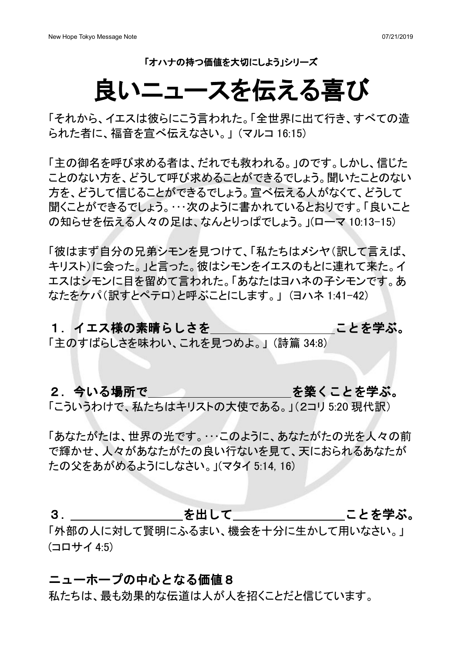「オハナの持つ価値を大切にしよう」シリーズ

# 良いニュースを伝える喜び

「それから、イエスは彼らにこう言われた。「全世界に出て行き、すべての造 られた者に、福音を宣べ伝えなさい。」(マルコ 16:15)

「主の御名を呼び求める者は、だれでも救われる。」のです。しかし、信じた ことのない方を、どうして呼び求めることができるでしょう。聞いたことのない 方を、どうして信じることができるでしょう。宣べ伝える人がなくて、どうして 聞くことができるでしょう。…次のように書かれているとおりです。「良いこと の知らせを伝える人々の足は、なんとりっぱでしょう。」(ローマ 10:13-15)

「彼はまず自分の兄弟シモンを見つけて、「私たちはメシヤ(訳して言えば、 キリスト)に会った。」と言った。彼はシモンをイエスのもとに連れて来た。イ エスはシモンに目を留めて言われた。「あなたはヨハネの子シモンです。あ なたをケパ(訳すとペテロ)と呼ぶことにします。」(ヨハネ 1:41-42)

### 1.イエス様の素晴らしさを ことを学ぶ。

「主のすばらしさを味わい、これを見つめよ。」(詩篇 34:8)

### 2. 今いる場所で インディング おうしゃ を築くことを学ぶ。

「こういうわけで、私たちはキリストの大使である。」(2コリ 5:20 現代訳)

「あなたがたは、世界の光です。…このように、あなたがたの光を人々の前 で輝かせ、人々があなたがたの良い行ないを見て、天におられるあなたが たの父をあがめるようにしなさい。」(マタイ 5:14, 16)

3. オンティング あいして おんころ ことを学ぶ。 「外部の人に対して賢明にふるまい、機会を十分に生かして用いなさい。」  $(\square \square \square \top \top \triangle \top 4:5)$ 

### ニューホープの中心となる価値8

私たちは、最も効果的な伝道は人が人を招くことだと信じています。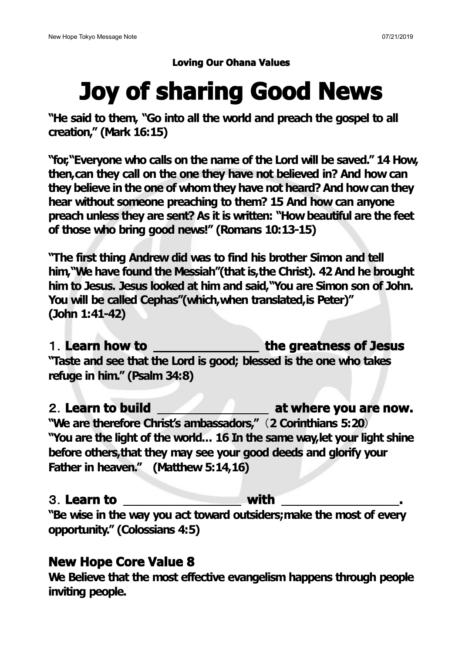### **Loving Our Ohana Values**

# **Joy of sharing Good News**

**"He said to them, "Go into all the world and preach the gospel to all creation," (Mark 16:15)**

**"for,"Everyone who calls on the name of the Lord will be saved." 14 How, then,can they call on the one they have not believed in? And how can they believe in the one of whomthey have not heard?And howcan they hear without someone preaching to them? 15 And how can anyone preach unless they are sent? As it is written: "Howbeautiful are the feet of those who bring good news!" (Romans 10:13-15)**

**"The first thing Andrew did was to find his brother Simon and tell him,"We have found the Messiah"(that is,the Christ). 42 And he brought him to Jesus. Jesus looked at him and said,"You are Simon son of John. You will be called Cephas"(which,when translated,is Peter)" (John 1:41-42)**

### **Learn how to the greatness of Jesus "Taste and see that the Lord is good; blessed is the one who takes**

**refuge in him." (Psalm 34:8)**

# **Learn to build at where you are now. "We are therefore Christ's ambassadors," 2 Corinthians 5:20**

**"You are the light of the world... 16 In the same way,letyour light shine before others,that they may see your good deeds and glorify your Father in heaven." (Matthew 5:14,16)**

### **Learn to with .**

**"Be wise in the way you act toward outsiders;make the most of every opportunity." (Colossians 4:5)**

## **New Hope Core Value 8**

**We Believe that the most effective evangelism happens through people inviting people.**